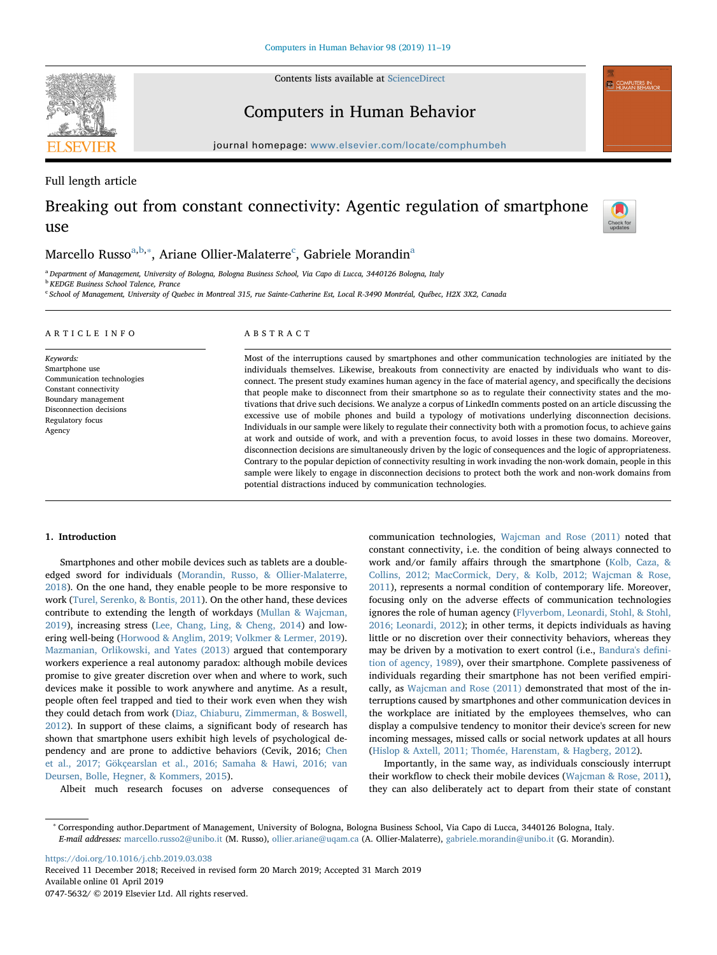Contents lists available at [ScienceDirect](http://www.sciencedirect.com/science/journal/07475632)

**SEVIER** 

Computers in Human Behavior

journal homepage: [www.elsevier.com/locate/comphumbeh](https://www.elsevier.com/locate/comphumbeh)

Full length article

# Breaking out from constant connectivity: Agentic regulation of smartphone use



**ED COMPUTERS IN** 

# M[a](#page-0-0)rcello Russo<sup>a[,b,](#page-0-1)[∗](#page-0-2)</sup>, Ariane Ollier-Malaterre<sup>[c](#page-0-3)</sup>, Gabriele Morandin<sup>a</sup>

<span id="page-0-0"></span><sup>a</sup> Department of Management, University of Bologna, Bologna Business School, Via Capo di Lucca, 3440126 Bologna, Italy

<span id="page-0-1"></span>**b** KEDGE Business School Talence, France

<span id="page-0-3"></span><sup>c</sup> School of Management, University of Quebec in Montreal 315, rue Sainte-Catherine Est, Local R-3490 Montréal, Québec, H2X 3X2, Canada

## ARTICLE INFO

Keywords: Smartphone use Communication technologies Constant connectivity Boundary management Disconnection decisions Regulatory focus Agency

# ABSTRACT

Most of the interruptions caused by smartphones and other communication technologies are initiated by the individuals themselves. Likewise, breakouts from connectivity are enacted by individuals who want to disconnect. The present study examines human agency in the face of material agency, and specifically the decisions that people make to disconnect from their smartphone so as to regulate their connectivity states and the motivations that drive such decisions. We analyze a corpus of LinkedIn comments posted on an article discussing the excessive use of mobile phones and build a typology of motivations underlying disconnection decisions. Individuals in our sample were likely to regulate their connectivity both with a promotion focus, to achieve gains at work and outside of work, and with a prevention focus, to avoid losses in these two domains. Moreover, disconnection decisions are simultaneously driven by the logic of consequences and the logic of appropriateness. Contrary to the popular depiction of connectivity resulting in work invading the non-work domain, people in this sample were likely to engage in disconnection decisions to protect both the work and non-work domains from potential distractions induced by communication technologies.

## 1. Introduction

Smartphones and other mobile devices such as tablets are a doubleedged sword for individuals ([Morandin, Russo, & Ollier-Malaterre,](#page-8-0) [2018\)](#page-8-0). On the one hand, they enable people to be more responsive to work ([Turel, Serenko, & Bontis, 2011](#page-8-1)). On the other hand, these devices contribute to extending the length of workdays [\(Mullan & Wajcman,](#page-8-2) [2019\)](#page-8-2), increasing stress [\(Lee, Chang, Ling, & Cheng, 2014](#page-8-3)) and lowering well-being [\(Horwood & Anglim, 2019; Volkmer & Lermer, 2019](#page-7-0)). [Mazmanian, Orlikowski, and Yates \(2013\)](#page-8-4) argued that contemporary workers experience a real autonomy paradox: although mobile devices promise to give greater discretion over when and where to work, such devices make it possible to work anywhere and anytime. As a result, people often feel trapped and tied to their work even when they wish they could detach from work ([Diaz, Chiaburu, Zimmerman, & Boswell,](#page-7-1) [2012\)](#page-7-1). In support of these claims, a significant body of research has shown that smartphone users exhibit high levels of psychological dependency and are prone to addictive behaviors (Cevik, 2016; [Chen](#page-7-2) [et al., 2017; Gökçearslan et al., 2016; Samaha & Hawi, 2016; van](#page-7-2) [Deursen, Bolle, Hegner, & Kommers, 2015\)](#page-7-2).

Albeit much research focuses on adverse consequences of

communication technologies, [Wajcman and Rose \(2011\)](#page-8-5) noted that constant connectivity, i.e. the condition of being always connected to work and/or family affairs through the smartphone [\(Kolb, Caza, &](#page-8-6) [Collins, 2012; MacCormick, Dery, & Kolb, 2012; Wajcman & Rose,](#page-8-6) [2011\)](#page-8-6), represents a normal condition of contemporary life. Moreover, focusing only on the adverse effects of communication technologies ignores the role of human agency [\(Flyverbom, Leonardi, Stohl, & Stohl,](#page-7-3) [2016; Leonardi, 2012](#page-7-3)); in other terms, it depicts individuals as having little or no discretion over their connectivity behaviors, whereas they may be driven by a motivation to exert control (i.e., [Bandura's de](#page-7-4)fini[tion of agency, 1989](#page-7-4)), over their smartphone. Complete passiveness of individuals regarding their smartphone has not been verified empirically, as [Wajcman and Rose \(2011\)](#page-8-5) demonstrated that most of the interruptions caused by smartphones and other communication devices in the workplace are initiated by the employees themselves, who can display a compulsive tendency to monitor their device's screen for new incoming messages, missed calls or social network updates at all hours ([Hislop & Axtell, 2011; Thomée, Harenstam, & Hagberg, 2012\)](#page-7-5).

Importantly, in the same way, as individuals consciously interrupt their workflow to check their mobile devices [\(Wajcman & Rose, 2011](#page-8-5)), they can also deliberately act to depart from their state of constant

<https://doi.org/10.1016/j.chb.2019.03.038> Received 11 December 2018; Received in revised form 20 March 2019; Accepted 31 March 2019 Available online 01 April 2019 0747-5632/ © 2019 Elsevier Ltd. All rights reserved.

<span id="page-0-2"></span><sup>∗</sup> Corresponding author.Department of Management, University of Bologna, Bologna Business School, Via Capo di Lucca, 3440126 Bologna, Italy. E-mail addresses: [marcello.russo2@unibo.it](mailto:marcello.russo2@unibo.it) (M. Russo), [ollier.ariane@uqam.ca](mailto:ollier.ariane@uqam.ca) (A. Ollier-Malaterre), [gabriele.morandin@unibo.it](mailto:gabriele.morandin@unibo.it) (G. Morandin).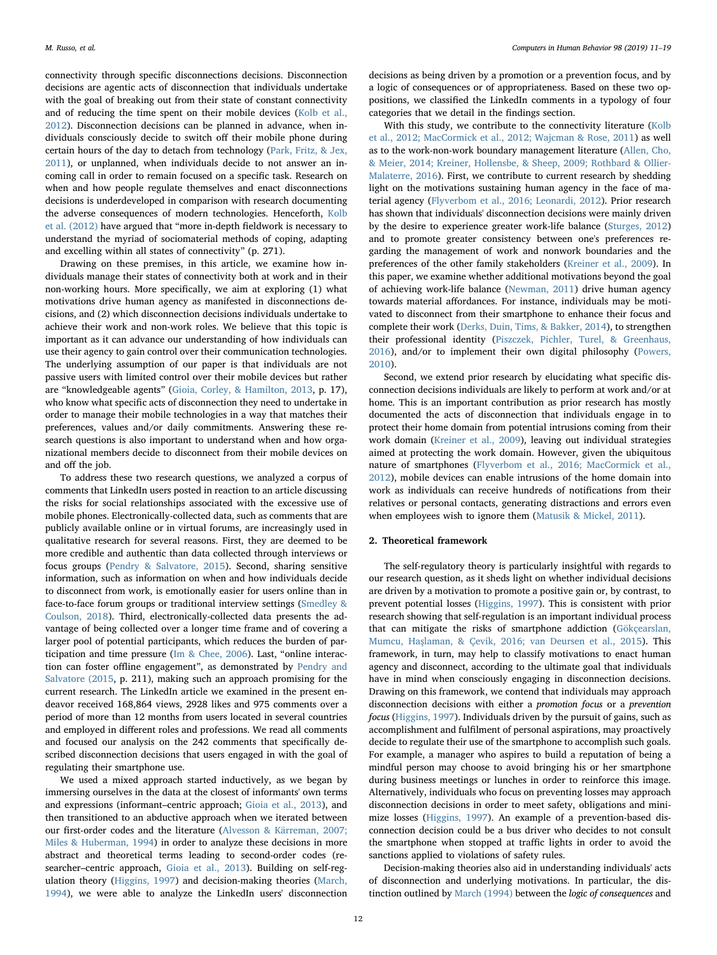connectivity through specific disconnections decisions. Disconnection decisions are agentic acts of disconnection that individuals undertake with the goal of breaking out from their state of constant connectivity and of reducing the time spent on their mobile devices ([Kolb et al.,](#page-8-6) [2012\)](#page-8-6). Disconnection decisions can be planned in advance, when individuals consciously decide to switch off their mobile phone during certain hours of the day to detach from technology ([Park, Fritz, & Jex,](#page-8-7) [2011\)](#page-8-7), or unplanned, when individuals decide to not answer an incoming call in order to remain focused on a specific task. Research on when and how people regulate themselves and enact disconnections decisions is underdeveloped in comparison with research documenting the adverse consequences of modern technologies. Henceforth, [Kolb](#page-8-6) [et al. \(2012\)](#page-8-6) have argued that "more in-depth fieldwork is necessary to understand the myriad of sociomaterial methods of coping, adapting and excelling within all states of connectivity" (p. 271).

Drawing on these premises, in this article, we examine how individuals manage their states of connectivity both at work and in their non-working hours. More specifically, we aim at exploring (1) what motivations drive human agency as manifested in disconnections decisions, and (2) which disconnection decisions individuals undertake to achieve their work and non-work roles. We believe that this topic is important as it can advance our understanding of how individuals can use their agency to gain control over their communication technologies. The underlying assumption of our paper is that individuals are not passive users with limited control over their mobile devices but rather are "knowledgeable agents" [\(Gioia, Corley, & Hamilton, 2013,](#page-7-6) p. 17), who know what specific acts of disconnection they need to undertake in order to manage their mobile technologies in a way that matches their preferences, values and/or daily commitments. Answering these research questions is also important to understand when and how organizational members decide to disconnect from their mobile devices on and off the job.

To address these two research questions, we analyzed a corpus of comments that LinkedIn users posted in reaction to an article discussing the risks for social relationships associated with the excessive use of mobile phones. Electronically-collected data, such as comments that are publicly available online or in virtual forums, are increasingly used in qualitative research for several reasons. First, they are deemed to be more credible and authentic than data collected through interviews or focus groups [\(Pendry & Salvatore, 2015](#page-8-8)). Second, sharing sensitive information, such as information on when and how individuals decide to disconnect from work, is emotionally easier for users online than in face-to-face forum groups or traditional interview settings ([Smedley &](#page-8-9) [Coulson, 2018\)](#page-8-9). Third, electronically-collected data presents the advantage of being collected over a longer time frame and of covering a larger pool of potential participants, which reduces the burden of participation and time pressure [\(Im & Chee, 2006\)](#page-8-10). Last, "online interaction can foster offline engagement", as demonstrated by [Pendry and](#page-8-8) [Salvatore \(2015](#page-8-8), p. 211), making such an approach promising for the current research. The LinkedIn article we examined in the present endeavor received 168,864 views, 2928 likes and 975 comments over a period of more than 12 months from users located in several countries and employed in different roles and professions. We read all comments and focused our analysis on the 242 comments that specifically described disconnection decisions that users engaged in with the goal of regulating their smartphone use.

We used a mixed approach started inductively, as we began by immersing ourselves in the data at the closest of informants' own terms and expressions (informant–centric approach; [Gioia et al., 2013](#page-7-6)), and then transitioned to an abductive approach when we iterated between our first-order codes and the literature ([Alvesson & Kärreman, 2007;](#page-7-7) [Miles & Huberman, 1994\)](#page-7-7) in order to analyze these decisions in more abstract and theoretical terms leading to second-order codes (researcher–centric approach, [Gioia et al., 2013](#page-7-6)). Building on self-regulation theory [\(Higgins, 1997\)](#page-7-8) and decision-making theories [\(March,](#page-8-11) [1994\)](#page-8-11), we were able to analyze the LinkedIn users' disconnection

decisions as being driven by a promotion or a prevention focus, and by a logic of consequences or of appropriateness. Based on these two oppositions, we classified the LinkedIn comments in a typology of four categories that we detail in the findings section.

With this study, we contribute to the connectivity literature [\(Kolb](#page-8-6) [et al., 2012; MacCormick et al., 2012; Wajcman & Rose, 2011](#page-8-6)) as well as to the work-non-work boundary management literature [\(Allen, Cho,](#page-7-9) [& Meier, 2014; Kreiner, Hollensbe, & Sheep, 2009; Rothbard & Ollier-](#page-7-9)[Malaterre, 2016\)](#page-7-9). First, we contribute to current research by shedding light on the motivations sustaining human agency in the face of material agency ([Flyverbom et al., 2016; Leonardi, 2012\)](#page-7-3). Prior research has shown that individuals' disconnection decisions were mainly driven by the desire to experience greater work-life balance [\(Sturges, 2012\)](#page-8-12) and to promote greater consistency between one's preferences regarding the management of work and nonwork boundaries and the preferences of the other family stakeholders ([Kreiner et al., 2009](#page-8-13)). In this paper, we examine whether additional motivations beyond the goal of achieving work-life balance ([Newman, 2011](#page-8-14)) drive human agency towards material affordances. For instance, individuals may be motivated to disconnect from their smartphone to enhance their focus and complete their work ([Derks, Duin, Tims, & Bakker, 2014\)](#page-7-10), to strengthen their professional identity ([Piszczek, Pichler, Turel, & Greenhaus,](#page-8-15) [2016\)](#page-8-15), and/or to implement their own digital philosophy [\(Powers,](#page-8-16) [2010\)](#page-8-16).

Second, we extend prior research by elucidating what specific disconnection decisions individuals are likely to perform at work and/or at home. This is an important contribution as prior research has mostly documented the acts of disconnection that individuals engage in to protect their home domain from potential intrusions coming from their work domain ([Kreiner et al., 2009](#page-8-13)), leaving out individual strategies aimed at protecting the work domain. However, given the ubiquitous nature of smartphones [\(Flyverbom et al., 2016; MacCormick et al.,](#page-7-3) [2012\)](#page-7-3), mobile devices can enable intrusions of the home domain into work as individuals can receive hundreds of notifications from their relatives or personal contacts, generating distractions and errors even when employees wish to ignore them ([Matusik & Mickel, 2011](#page-8-17)).

# 2. Theoretical framework

The self-regulatory theory is particularly insightful with regards to our research question, as it sheds light on whether individual decisions are driven by a motivation to promote a positive gain or, by contrast, to prevent potential losses [\(Higgins, 1997\)](#page-7-8). This is consistent with prior research showing that self-regulation is an important individual process that can mitigate the risks of smartphone addiction [\(Gökçearslan,](#page-7-11) Mumcu, Haş[laman, & Çevik, 2016; van Deursen et al., 2015](#page-7-11)). This framework, in turn, may help to classify motivations to enact human agency and disconnect, according to the ultimate goal that individuals have in mind when consciously engaging in disconnection decisions. Drawing on this framework, we contend that individuals may approach disconnection decisions with either a promotion focus or a prevention focus ([Higgins, 1997\)](#page-7-8). Individuals driven by the pursuit of gains, such as accomplishment and fulfilment of personal aspirations, may proactively decide to regulate their use of the smartphone to accomplish such goals. For example, a manager who aspires to build a reputation of being a mindful person may choose to avoid bringing his or her smartphone during business meetings or lunches in order to reinforce this image. Alternatively, individuals who focus on preventing losses may approach disconnection decisions in order to meet safety, obligations and minimize losses [\(Higgins, 1997](#page-7-8)). An example of a prevention-based disconnection decision could be a bus driver who decides to not consult the smartphone when stopped at traffic lights in order to avoid the sanctions applied to violations of safety rules.

Decision-making theories also aid in understanding individuals' acts of disconnection and underlying motivations. In particular, the distinction outlined by [March \(1994\)](#page-8-11) between the logic of consequences and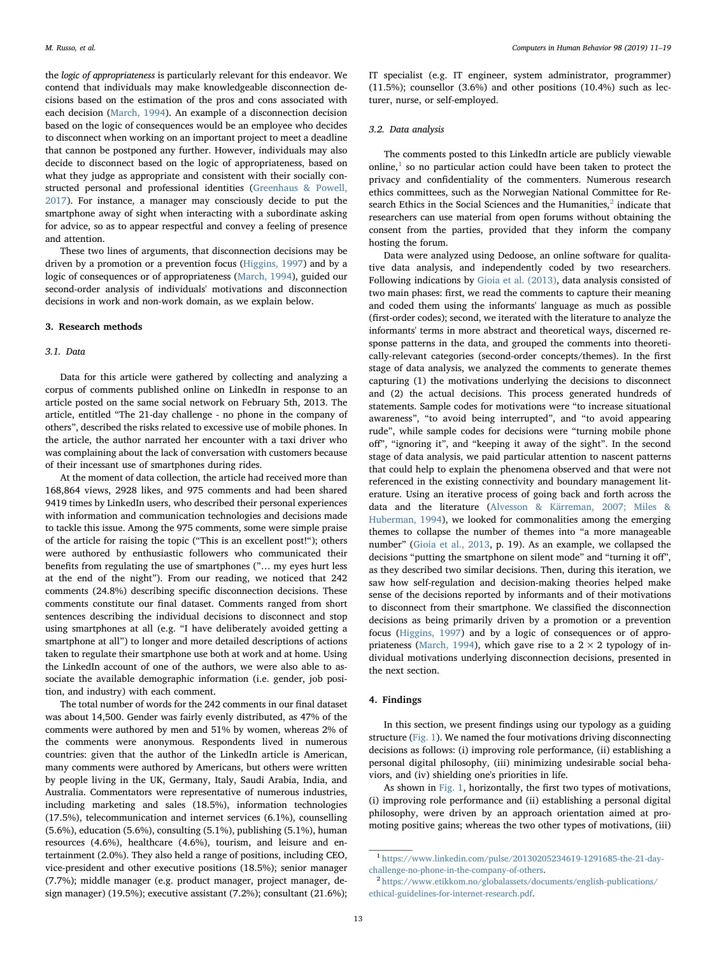the logic of appropriateness is particularly relevant for this endeavor. We contend that individuals may make knowledgeable disconnection decisions based on the estimation of the pros and cons associated with each decision ([March, 1994](#page-8-11)). An example of a disconnection decision based on the logic of consequences would be an employee who decides to disconnect when working on an important project to meet a deadline that cannon be postponed any further. However, individuals may also decide to disconnect based on the logic of appropriateness, based on what they judge as appropriate and consistent with their socially constructed personal and professional identities [\(Greenhaus & Powell,](#page-7-12) [2017\)](#page-7-12). For instance, a manager may consciously decide to put the smartphone away of sight when interacting with a subordinate asking for advice, so as to appear respectful and convey a feeling of presence and attention.

These two lines of arguments, that disconnection decisions may be driven by a promotion or a prevention focus [\(Higgins, 1997\)](#page-7-8) and by a logic of consequences or of appropriateness [\(March, 1994](#page-8-11)), guided our second-order analysis of individuals' motivations and disconnection decisions in work and non-work domain, as we explain below.

#### 3. Research methods

### 3.1. Data

Data for this article were gathered by collecting and analyzing a corpus of comments published online on LinkedIn in response to an article posted on the same social network on February 5th, 2013. The article, entitled "The 21-day challenge - no phone in the company of others", described the risks related to excessive use of mobile phones. In the article, the author narrated her encounter with a taxi driver who was complaining about the lack of conversation with customers because of their incessant use of smartphones during rides.

At the moment of data collection, the article had received more than 168,864 views, 2928 likes, and 975 comments and had been shared 9419 times by LinkedIn users, who described their personal experiences with information and communication technologies and decisions made to tackle this issue. Among the 975 comments, some were simple praise of the article for raising the topic ("This is an excellent post!"); others were authored by enthusiastic followers who communicated their benefits from regulating the use of smartphones ("… my eyes hurt less at the end of the night"). From our reading, we noticed that 242 comments (24.8%) describing specific disconnection decisions. These comments constitute our final dataset. Comments ranged from short sentences describing the individual decisions to disconnect and stop using smartphones at all (e.g. "I have deliberately avoided getting a smartphone at all") to longer and more detailed descriptions of actions taken to regulate their smartphone use both at work and at home. Using the LinkedIn account of one of the authors, we were also able to associate the available demographic information (i.e. gender, job position, and industry) with each comment.

The total number of words for the 242 comments in our final dataset was about 14,500. Gender was fairly evenly distributed, as 47% of the comments were authored by men and 51% by women, whereas 2% of the comments were anonymous. Respondents lived in numerous countries: given that the author of the LinkedIn article is American, many comments were authored by Americans, but others were written by people living in the UK, Germany, Italy, Saudi Arabia, India, and Australia. Commentators were representative of numerous industries, including marketing and sales (18.5%), information technologies (17.5%), telecommunication and internet services (6.1%), counselling (5.6%), education (5.6%), consulting (5.1%), publishing (5.1%), human resources (4.6%), healthcare (4.6%), tourism, and leisure and entertainment (2.0%). They also held a range of positions, including CEO, vice-president and other executive positions (18.5%); senior manager (7.7%); middle manager (e.g. product manager, project manager, design manager) (19.5%); executive assistant (7.2%); consultant (21.6%); IT specialist (e.g. IT engineer, system administrator, programmer) (11.5%); counsellor (3.6%) and other positions (10.4%) such as lecturer, nurse, or self-employed.

### 3.2. Data analysis

The comments posted to this LinkedIn article are publicly viewable  $online$ , $<sup>1</sup>$  $<sup>1</sup>$  $<sup>1</sup>$  so no particular action could have been taken to protect the</sup> privacy and confidentiality of the commenters. Numerous research ethics committees, such as the Norwegian National Committee for Research Ethics in the Social Sciences and the Humanities, $<sup>2</sup>$  $<sup>2</sup>$  $<sup>2</sup>$  indicate that</sup> researchers can use material from open forums without obtaining the consent from the parties, provided that they inform the company hosting the forum.

Data were analyzed using Dedoose, an online software for qualitative data analysis, and independently coded by two researchers. Following indications by [Gioia et al. \(2013\),](#page-7-6) data analysis consisted of two main phases: first, we read the comments to capture their meaning and coded them using the informants' language as much as possible (first-order codes); second, we iterated with the literature to analyze the informants' terms in more abstract and theoretical ways, discerned response patterns in the data, and grouped the comments into theoretically-relevant categories (second-order concepts/themes). In the first stage of data analysis, we analyzed the comments to generate themes capturing (1) the motivations underlying the decisions to disconnect and (2) the actual decisions. This process generated hundreds of statements. Sample codes for motivations were "to increase situational awareness", "to avoid being interrupted", and "to avoid appearing rude", while sample codes for decisions were "turning mobile phone off", "ignoring it", and "keeping it away of the sight". In the second stage of data analysis, we paid particular attention to nascent patterns that could help to explain the phenomena observed and that were not referenced in the existing connectivity and boundary management literature. Using an iterative process of going back and forth across the data and the literature ([Alvesson & Kärreman, 2007; Miles &](#page-7-7) [Huberman, 1994](#page-7-7)), we looked for commonalities among the emerging themes to collapse the number of themes into "a more manageable number" ([Gioia et al., 2013,](#page-7-6) p. 19). As an example, we collapsed the decisions "putting the smartphone on silent mode" and "turning it off", as they described two similar decisions. Then, during this iteration, we saw how self-regulation and decision-making theories helped make sense of the decisions reported by informants and of their motivations to disconnect from their smartphone. We classified the disconnection decisions as being primarily driven by a promotion or a prevention focus [\(Higgins, 1997](#page-7-8)) and by a logic of consequences or of appro-priateness [\(March, 1994](#page-8-11)), which gave rise to a  $2 \times 2$  typology of individual motivations underlying disconnection decisions, presented in the next section.

# 4. Findings

In this section, we present findings using our typology as a guiding structure [\(Fig. 1\)](#page-3-0). We named the four motivations driving disconnecting decisions as follows: (i) improving role performance, (ii) establishing a personal digital philosophy, (iii) minimizing undesirable social behaviors, and (iv) shielding one's priorities in life.

As shown in [Fig. 1](#page-3-0), horizontally, the first two types of motivations, (i) improving role performance and (ii) establishing a personal digital philosophy, were driven by an approach orientation aimed at promoting positive gains; whereas the two other types of motivations, (iii)

<span id="page-2-0"></span><sup>1</sup> [https://www.linkedin.com/pulse/20130205234619-1291685-the-21-day](https://www.linkedin.com/pulse/20130205234619-1291685-the-21-day-challenge-no-phone-in-the-company-of-others)[challenge-no-phone-in-the-company-of-others.](https://www.linkedin.com/pulse/20130205234619-1291685-the-21-day-challenge-no-phone-in-the-company-of-others)

<span id="page-2-1"></span><sup>2</sup> [https://www.etikkom.no/globalassets/documents/english-publications/](https://www.etikkom.no/globalassets/documents/english-publications/ethical-guidelines-for-internet-research.pdf) [ethical-guidelines-for-internet-research.pdf.](https://www.etikkom.no/globalassets/documents/english-publications/ethical-guidelines-for-internet-research.pdf)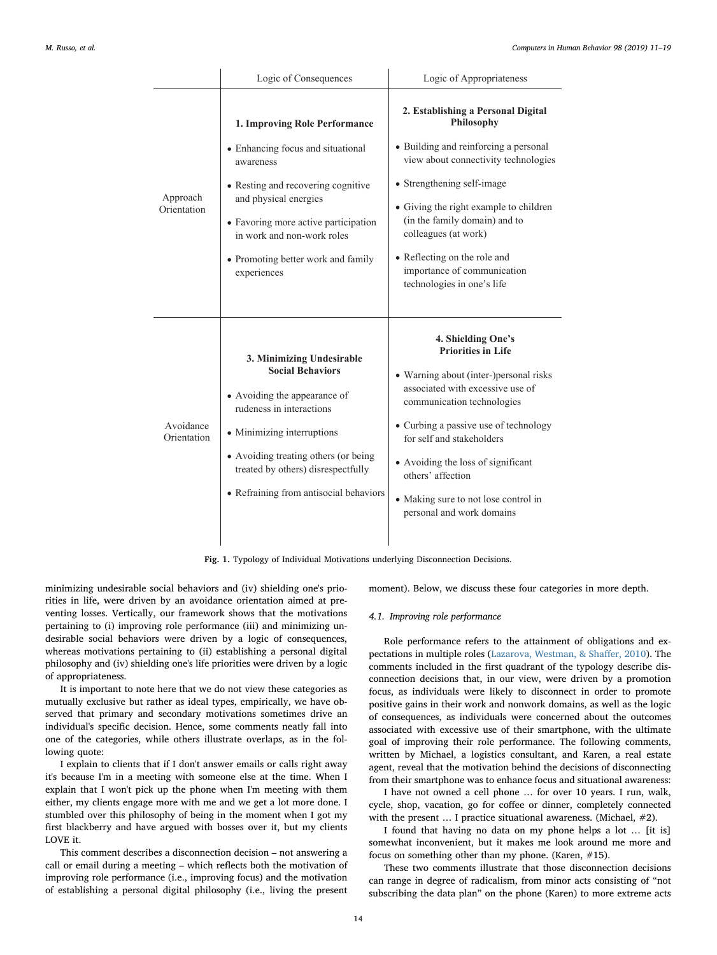<span id="page-3-0"></span>

|                          | Logic of Consequences                                                                                            | Logic of Appropriateness                                                                                                                                    |
|--------------------------|------------------------------------------------------------------------------------------------------------------|-------------------------------------------------------------------------------------------------------------------------------------------------------------|
|                          | 1. Improving Role Performance                                                                                    | 2. Establishing a Personal Digital<br>Philosophy                                                                                                            |
| Approach<br>Orientation  | • Enhancing focus and situational<br>awareness                                                                   | • Building and reinforcing a personal<br>view about connectivity technologies                                                                               |
|                          | • Resting and recovering cognitive<br>and physical energies                                                      | • Strengthening self-image                                                                                                                                  |
|                          | • Favoring more active participation<br>in work and non-work roles                                               | • Giving the right example to children<br>(in the family domain) and to<br>colleagues (at work)                                                             |
|                          | • Promoting better work and family<br>experiences                                                                | • Reflecting on the role and<br>importance of communication<br>technologies in one's life                                                                   |
|                          |                                                                                                                  |                                                                                                                                                             |
| Avoidance<br>Orientation | 3. Minimizing Undesirable<br><b>Social Behaviors</b><br>• Avoiding the appearance of<br>rudeness in interactions | 4. Shielding One's<br><b>Priorities in Life</b><br>• Warning about (inter-)personal risks<br>associated with excessive use of<br>communication technologies |
|                          | • Minimizing interruptions                                                                                       | • Curbing a passive use of technology<br>for self and stakeholders                                                                                          |
|                          | • Avoiding treating others (or being<br>treated by others) disrespectfully                                       | • Avoiding the loss of significant<br>others' affection                                                                                                     |
|                          | • Refraining from antisocial behaviors                                                                           | • Making sure to not lose control in<br>personal and work domains                                                                                           |
|                          |                                                                                                                  |                                                                                                                                                             |

Fig. 1. Typology of Individual Motivations underlying Disconnection Decisions.

minimizing undesirable social behaviors and (iv) shielding one's priorities in life, were driven by an avoidance orientation aimed at preventing losses. Vertically, our framework shows that the motivations pertaining to (i) improving role performance (iii) and minimizing undesirable social behaviors were driven by a logic of consequences, whereas motivations pertaining to (ii) establishing a personal digital philosophy and (iv) shielding one's life priorities were driven by a logic of appropriateness.

It is important to note here that we do not view these categories as mutually exclusive but rather as ideal types, empirically, we have observed that primary and secondary motivations sometimes drive an individual's specific decision. Hence, some comments neatly fall into one of the categories, while others illustrate overlaps, as in the following quote:

I explain to clients that if I don't answer emails or calls right away it's because I'm in a meeting with someone else at the time. When I explain that I won't pick up the phone when I'm meeting with them either, my clients engage more with me and we get a lot more done. I stumbled over this philosophy of being in the moment when I got my first blackberry and have argued with bosses over it, but my clients LOVE it.

This comment describes a disconnection decision – not answering a call or email during a meeting – which reflects both the motivation of improving role performance (i.e., improving focus) and the motivation of establishing a personal digital philosophy (i.e., living the present moment). Below, we discuss these four categories in more depth.

## 4.1. Improving role performance

Role performance refers to the attainment of obligations and expectations in multiple roles [\(Lazarova, Westman, & Sha](#page-8-18)ffer, 2010). The comments included in the first quadrant of the typology describe disconnection decisions that, in our view, were driven by a promotion focus, as individuals were likely to disconnect in order to promote positive gains in their work and nonwork domains, as well as the logic of consequences, as individuals were concerned about the outcomes associated with excessive use of their smartphone, with the ultimate goal of improving their role performance. The following comments, written by Michael, a logistics consultant, and Karen, a real estate agent, reveal that the motivation behind the decisions of disconnecting from their smartphone was to enhance focus and situational awareness:

I have not owned a cell phone … for over 10 years. I run, walk, cycle, shop, vacation, go for coffee or dinner, completely connected with the present … I practice situational awareness. (Michael, #2).

I found that having no data on my phone helps a lot … [it is] somewhat inconvenient, but it makes me look around me more and focus on something other than my phone. (Karen, #15).

These two comments illustrate that those disconnection decisions can range in degree of radicalism, from minor acts consisting of "not subscribing the data plan" on the phone (Karen) to more extreme acts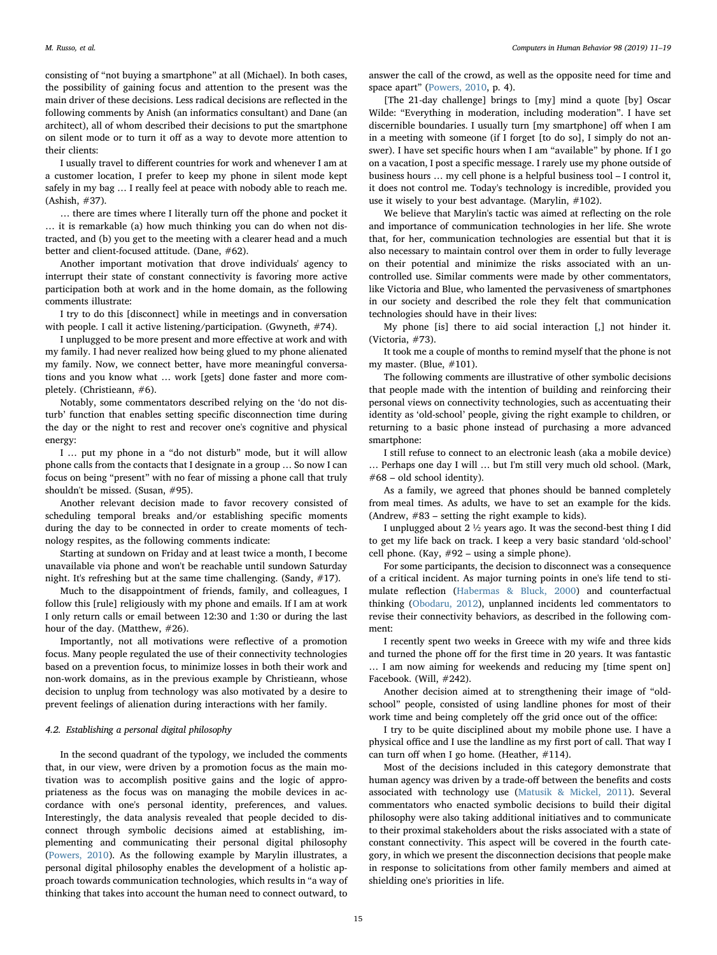consisting of "not buying a smartphone" at all (Michael). In both cases, the possibility of gaining focus and attention to the present was the main driver of these decisions. Less radical decisions are reflected in the following comments by Anish (an informatics consultant) and Dane (an architect), all of whom described their decisions to put the smartphone on silent mode or to turn it off as a way to devote more attention to their clients:

I usually travel to different countries for work and whenever I am at a customer location, I prefer to keep my phone in silent mode kept safely in my bag … I really feel at peace with nobody able to reach me. (Ashish, #37).

… there are times where I literally turn off the phone and pocket it … it is remarkable (a) how much thinking you can do when not distracted, and (b) you get to the meeting with a clearer head and a much better and client-focused attitude. (Dane, #62).

Another important motivation that drove individuals' agency to interrupt their state of constant connectivity is favoring more active participation both at work and in the home domain, as the following comments illustrate:

I try to do this [disconnect] while in meetings and in conversation with people. I call it active listening/participation. (Gwyneth, #74).

I unplugged to be more present and more effective at work and with my family. I had never realized how being glued to my phone alienated my family. Now, we connect better, have more meaningful conversations and you know what … work [gets] done faster and more completely. (Christieann, #6).

Notably, some commentators described relying on the 'do not disturb' function that enables setting specific disconnection time during the day or the night to rest and recover one's cognitive and physical energy:

I … put my phone in a "do not disturb" mode, but it will allow phone calls from the contacts that I designate in a group … So now I can focus on being "present" with no fear of missing a phone call that truly shouldn't be missed. (Susan, #95).

Another relevant decision made to favor recovery consisted of scheduling temporal breaks and/or establishing specific moments during the day to be connected in order to create moments of technology respites, as the following comments indicate:

Starting at sundown on Friday and at least twice a month, I become unavailable via phone and won't be reachable until sundown Saturday night. It's refreshing but at the same time challenging. (Sandy, #17).

Much to the disappointment of friends, family, and colleagues, I follow this [rule] religiously with my phone and emails. If I am at work I only return calls or email between 12:30 and 1:30 or during the last hour of the day. (Matthew, #26).

Importantly, not all motivations were reflective of a promotion focus. Many people regulated the use of their connectivity technologies based on a prevention focus, to minimize losses in both their work and non-work domains, as in the previous example by Christieann, whose decision to unplug from technology was also motivated by a desire to prevent feelings of alienation during interactions with her family.

# 4.2. Establishing a personal digital philosophy

In the second quadrant of the typology, we included the comments that, in our view, were driven by a promotion focus as the main motivation was to accomplish positive gains and the logic of appropriateness as the focus was on managing the mobile devices in accordance with one's personal identity, preferences, and values. Interestingly, the data analysis revealed that people decided to disconnect through symbolic decisions aimed at establishing, implementing and communicating their personal digital philosophy ([Powers,](#page-8-16) 2010). As the following example by Marylin illustrates, a personal digital philosophy enables the development of a holistic approach towards communication technologies, which results in "a way of thinking that takes into account the human need to connect outward, to

answer the call of the crowd, as well as the opposite need for time and space apart" [\(Powers, 2010](#page-8-16), p. 4).

[The 21-day challenge] brings to [my] mind a quote [by] Oscar Wilde: "Everything in moderation, including moderation". I have set discernible boundaries. I usually turn [my smartphone] off when I am in a meeting with someone (if I forget [to do so], I simply do not answer). I have set specific hours when I am "available" by phone. If I go on a vacation, I post a specific message. I rarely use my phone outside of business hours … my cell phone is a helpful business tool – I control it, it does not control me. Today's technology is incredible, provided you use it wisely to your best advantage. (Marylin, #102).

We believe that Marylin's tactic was aimed at reflecting on the role and importance of communication technologies in her life. She wrote that, for her, communication technologies are essential but that it is also necessary to maintain control over them in order to fully leverage on their potential and minimize the risks associated with an uncontrolled use. Similar comments were made by other commentators, like Victoria and Blue, who lamented the pervasiveness of smartphones in our society and described the role they felt that communication technologies should have in their lives:

My phone [is] there to aid social interaction [,] not hinder it. (Victoria, #73).

It took me a couple of months to remind myself that the phone is not my master. (Blue, #101).

The following comments are illustrative of other symbolic decisions that people made with the intention of building and reinforcing their personal views on connectivity technologies, such as accentuating their identity as 'old-school' people, giving the right example to children, or returning to a basic phone instead of purchasing a more advanced smartphone:

I still refuse to connect to an electronic leash (aka a mobile device) … Perhaps one day I will … but I'm still very much old school. (Mark, #68 – old school identity).

As a family, we agreed that phones should be banned completely from meal times. As adults, we have to set an example for the kids. (Andrew, #83 – setting the right example to kids).

I unplugged about 2 ½ years ago. It was the second-best thing I did to get my life back on track. I keep a very basic standard 'old-school' cell phone. (Kay, #92 – using a simple phone).

For some participants, the decision to disconnect was a consequence of a critical incident. As major turning points in one's life tend to stimulate reflection ([Habermas & Bluck, 2000\)](#page-7-13) and counterfactual thinking ([Obodaru, 2012](#page-8-19)), unplanned incidents led commentators to revise their connectivity behaviors, as described in the following comment:

I recently spent two weeks in Greece with my wife and three kids and turned the phone off for the first time in 20 years. It was fantastic … I am now aiming for weekends and reducing my [time spent on] Facebook. (Will, #242).

Another decision aimed at to strengthening their image of "oldschool" people, consisted of using landline phones for most of their work time and being completely off the grid once out of the office:

I try to be quite disciplined about my mobile phone use. I have a physical office and I use the landline as my first port of call. That way I can turn off when I go home. (Heather, #114).

Most of the decisions included in this category demonstrate that human agency was driven by a trade-off between the benefits and costs associated with technology use ([Matusik & Mickel, 2011](#page-8-17)). Several commentators who enacted symbolic decisions to build their digital philosophy were also taking additional initiatives and to communicate to their proximal stakeholders about the risks associated with a state of constant connectivity. This aspect will be covered in the fourth category, in which we present the disconnection decisions that people make in response to solicitations from other family members and aimed at shielding one's priorities in life.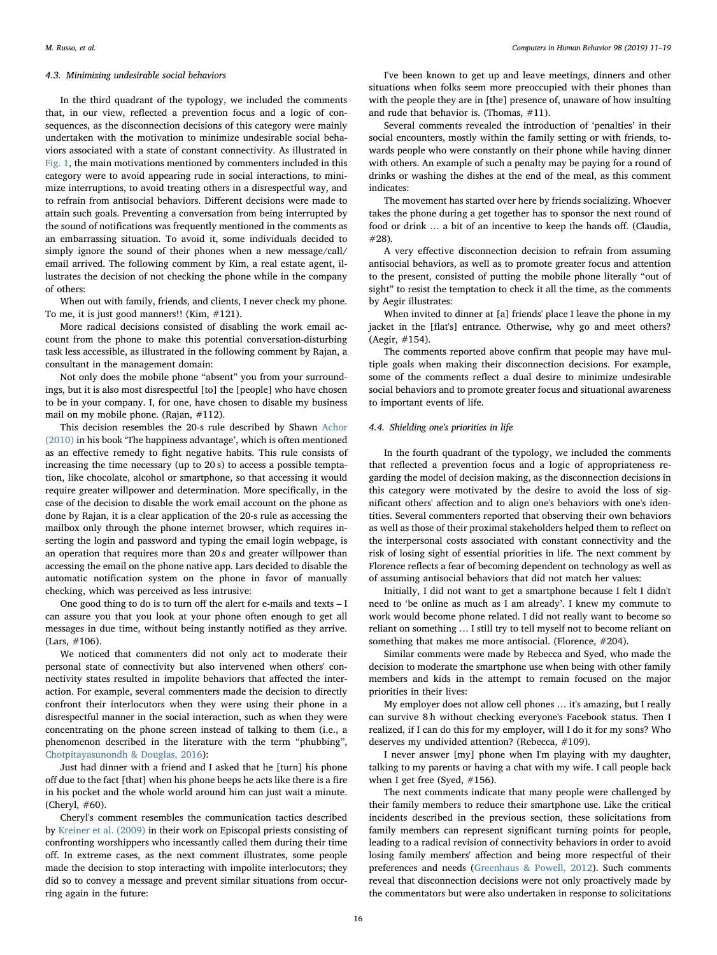## 4.3. Minimizing undesirable social behaviors

In the third quadrant of the typology, we included the comments that, in our view, reflected a prevention focus and a logic of consequences, as the disconnection decisions of this category were mainly undertaken with the motivation to minimize undesirable social behaviors associated with a state of constant connectivity. As illustrated in [Fig. 1](#page-3-0), the main motivations mentioned by commenters included in this category were to avoid appearing rude in social interactions, to minimize interruptions, to avoid treating others in a disrespectful way, and to refrain from antisocial behaviors. Different decisions were made to attain such goals. Preventing a conversation from being interrupted by the sound of notifications was frequently mentioned in the comments as an embarrassing situation. To avoid it, some individuals decided to simply ignore the sound of their phones when a new message/call/ email arrived. The following comment by Kim, a real estate agent, illustrates the decision of not checking the phone while in the company of others:

When out with family, friends, and clients, I never check my phone. To me, it is just good manners!! (Kim, #121).

More radical decisions consisted of disabling the work email account from the phone to make this potential conversation-disturbing task less accessible, as illustrated in the following comment by Rajan, a consultant in the management domain:

Not only does the mobile phone "absent" you from your surroundings, but it is also most disrespectful [to] the [people] who have chosen to be in your company. I, for one, have chosen to disable my business mail on my mobile phone. (Rajan, #112).

This decision resembles the 20-s rule described by Shawn [Achor](#page-7-14) [\(2010\)](#page-7-14) in his book 'The happiness advantage', which is often mentioned as an effective remedy to fight negative habits. This rule consists of increasing the time necessary (up to 20 s) to access a possible temptation, like chocolate, alcohol or smartphone, so that accessing it would require greater willpower and determination. More specifically, in the case of the decision to disable the work email account on the phone as done by Rajan, it is a clear application of the 20-s rule as accessing the mailbox only through the phone internet browser, which requires inserting the login and password and typing the email login webpage, is an operation that requires more than 20 s and greater willpower than accessing the email on the phone native app. Lars decided to disable the automatic notification system on the phone in favor of manually checking, which was perceived as less intrusive:

One good thing to do is to turn off the alert for e-mails and texts – I can assure you that you look at your phone often enough to get all messages in due time, without being instantly notified as they arrive. (Lars, #106).

We noticed that commenters did not only act to moderate their personal state of connectivity but also intervened when others' connectivity states resulted in impolite behaviors that affected the interaction. For example, several commenters made the decision to directly confront their interlocutors when they were using their phone in a disrespectful manner in the social interaction, such as when they were concentrating on the phone screen instead of talking to them (i.e., a phenomenon described in the literature with the term "phubbing", [Chotpitayasunondh & Douglas, 2016](#page-7-15)):

Just had dinner with a friend and I asked that he [turn] his phone off due to the fact [that] when his phone beeps he acts like there is a fire in his pocket and the whole world around him can just wait a minute. (Cheryl, #60).

Cheryl's comment resembles the communication tactics described by [Kreiner et al. \(2009\)](#page-8-13) in their work on Episcopal priests consisting of confronting worshippers who incessantly called them during their time off. In extreme cases, as the next comment illustrates, some people made the decision to stop interacting with impolite interlocutors; they did so to convey a message and prevent similar situations from occurring again in the future:

I've been known to get up and leave meetings, dinners and other situations when folks seem more preoccupied with their phones than with the people they are in [the] presence of, unaware of how insulting and rude that behavior is. (Thomas, #11).

Several comments revealed the introduction of 'penalties' in their social encounters, mostly within the family setting or with friends, towards people who were constantly on their phone while having dinner with others. An example of such a penalty may be paying for a round of drinks or washing the dishes at the end of the meal, as this comment indicates:

The movement has started over here by friends socializing. Whoever takes the phone during a get together has to sponsor the next round of food or drink … a bit of an incentive to keep the hands off. (Claudia, #28).

A very effective disconnection decision to refrain from assuming antisocial behaviors, as well as to promote greater focus and attention to the present, consisted of putting the mobile phone literally "out of sight" to resist the temptation to check it all the time, as the comments by Aegir illustrates:

When invited to dinner at [a] friends' place I leave the phone in my jacket in the [flat's] entrance. Otherwise, why go and meet others? (Aegir, #154).

The comments reported above confirm that people may have multiple goals when making their disconnection decisions. For example, some of the comments reflect a dual desire to minimize undesirable social behaviors and to promote greater focus and situational awareness to important events of life.

# 4.4. Shielding one's priorities in life

In the fourth quadrant of the typology, we included the comments that reflected a prevention focus and a logic of appropriateness regarding the model of decision making, as the disconnection decisions in this category were motivated by the desire to avoid the loss of significant others' affection and to align one's behaviors with one's identities. Several commenters reported that observing their own behaviors as well as those of their proximal stakeholders helped them to reflect on the interpersonal costs associated with constant connectivity and the risk of losing sight of essential priorities in life. The next comment by Florence reflects a fear of becoming dependent on technology as well as of assuming antisocial behaviors that did not match her values:

Initially, I did not want to get a smartphone because I felt I didn't need to 'be online as much as I am already'. I knew my commute to work would become phone related. I did not really want to become so reliant on something … I still try to tell myself not to become reliant on something that makes me more antisocial. (Florence, #204).

Similar comments were made by Rebecca and Syed, who made the decision to moderate the smartphone use when being with other family members and kids in the attempt to remain focused on the major priorities in their lives:

My employer does not allow cell phones … it's amazing, but I really can survive 8 h without checking everyone's Facebook status. Then I realized, if I can do this for my employer, will I do it for my sons? Who deserves my undivided attention? (Rebecca, #109).

I never answer [my] phone when I'm playing with my daughter, talking to my parents or having a chat with my wife. I call people back when I get free (Syed, #156).

The next comments indicate that many people were challenged by their family members to reduce their smartphone use. Like the critical incidents described in the previous section, these solicitations from family members can represent significant turning points for people, leading to a radical revision of connectivity behaviors in order to avoid losing family members' affection and being more respectful of their preferences and needs [\(Greenhaus & Powell, 2012](#page-7-16)). Such comments reveal that disconnection decisions were not only proactively made by the commentators but were also undertaken in response to solicitations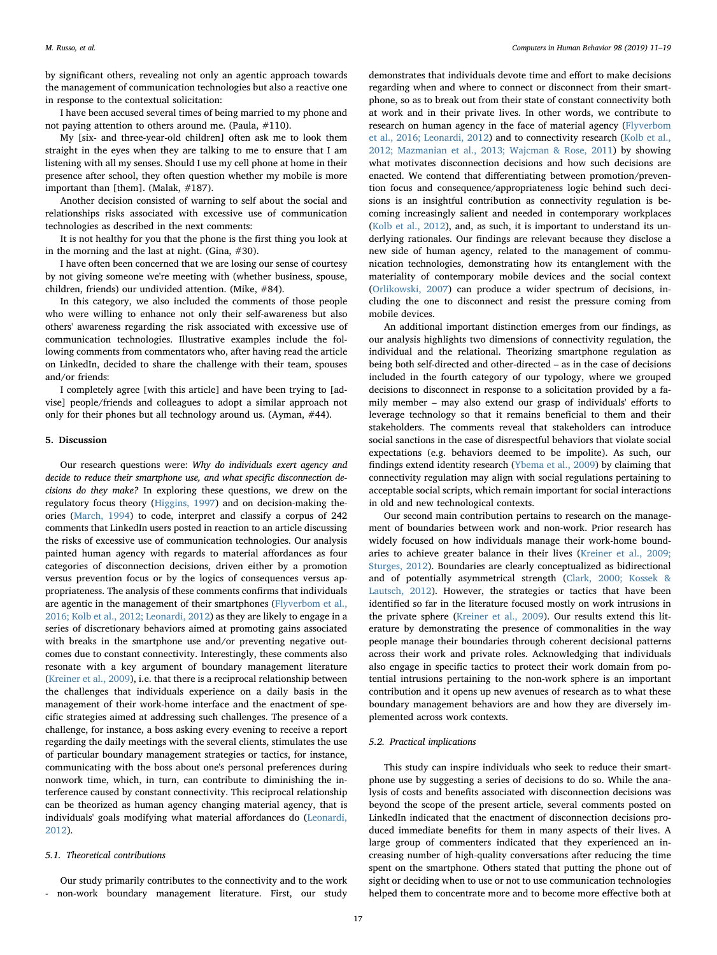by significant others, revealing not only an agentic approach towards the management of communication technologies but also a reactive one in response to the contextual solicitation:

I have been accused several times of being married to my phone and not paying attention to others around me. (Paula, #110).

My [six- and three-year-old children] often ask me to look them straight in the eyes when they are talking to me to ensure that I am listening with all my senses. Should I use my cell phone at home in their presence after school, they often question whether my mobile is more important than [them]. (Malak, #187).

Another decision consisted of warning to self about the social and relationships risks associated with excessive use of communication technologies as described in the next comments:

It is not healthy for you that the phone is the first thing you look at in the morning and the last at night. (Gina, #30).

I have often been concerned that we are losing our sense of courtesy by not giving someone we're meeting with (whether business, spouse, children, friends) our undivided attention. (Mike, #84).

In this category, we also included the comments of those people who were willing to enhance not only their self-awareness but also others' awareness regarding the risk associated with excessive use of communication technologies. Illustrative examples include the following comments from commentators who, after having read the article on LinkedIn, decided to share the challenge with their team, spouses and/or friends:

I completely agree [with this article] and have been trying to [advise] people/friends and colleagues to adopt a similar approach not only for their phones but all technology around us. (Ayman, #44).

# 5. Discussion

Our research questions were: Why do individuals exert agency and decide to reduce their smartphone use, and what specific disconnection decisions do they make? In exploring these questions, we drew on the regulatory focus theory [\(Higgins, 1997\)](#page-7-8) and on decision-making theories [\(March, 1994\)](#page-8-11) to code, interpret and classify a corpus of 242 comments that LinkedIn users posted in reaction to an article discussing the risks of excessive use of communication technologies. Our analysis painted human agency with regards to material affordances as four categories of disconnection decisions, driven either by a promotion versus prevention focus or by the logics of consequences versus appropriateness. The analysis of these comments confirms that individuals are agentic in the management of their smartphones ([Flyverbom et al.,](#page-7-3) [2016; Kolb et al., 2012; Leonardi, 2012](#page-7-3)) as they are likely to engage in a series of discretionary behaviors aimed at promoting gains associated with breaks in the smartphone use and/or preventing negative outcomes due to constant connectivity. Interestingly, these comments also resonate with a key argument of boundary management literature ([Kreiner et al., 2009](#page-8-13)), i.e. that there is a reciprocal relationship between the challenges that individuals experience on a daily basis in the management of their work-home interface and the enactment of specific strategies aimed at addressing such challenges. The presence of a challenge, for instance, a boss asking every evening to receive a report regarding the daily meetings with the several clients, stimulates the use of particular boundary management strategies or tactics, for instance, communicating with the boss about one's personal preferences during nonwork time, which, in turn, can contribute to diminishing the interference caused by constant connectivity. This reciprocal relationship can be theorized as human agency changing material agency, that is individuals' goals modifying what material affordances do [\(Leonardi,](#page-8-20) [2012\)](#page-8-20).

## 5.1. Theoretical contributions

Our study primarily contributes to the connectivity and to the work non-work boundary management literature. First, our study

demonstrates that individuals devote time and effort to make decisions regarding when and where to connect or disconnect from their smartphone, so as to break out from their state of constant connectivity both at work and in their private lives. In other words, we contribute to research on human agency in the face of material agency ([Flyverbom](#page-7-3) [et al., 2016; Leonardi, 2012](#page-7-3)) and to connectivity research ([Kolb et al.,](#page-8-6) [2012; Mazmanian et al., 2013; Wajcman & Rose, 2011](#page-8-6)) by showing what motivates disconnection decisions and how such decisions are enacted. We contend that differentiating between promotion/prevention focus and consequence/appropriateness logic behind such decisions is an insightful contribution as connectivity regulation is becoming increasingly salient and needed in contemporary workplaces ([Kolb et al., 2012](#page-8-6)), and, as such, it is important to understand its underlying rationales. Our findings are relevant because they disclose a new side of human agency, related to the management of communication technologies, demonstrating how its entanglement with the materiality of contemporary mobile devices and the social context ([Orlikowski, 2007](#page-8-21)) can produce a wider spectrum of decisions, including the one to disconnect and resist the pressure coming from mobile devices.

An additional important distinction emerges from our findings, as our analysis highlights two dimensions of connectivity regulation, the individual and the relational. Theorizing smartphone regulation as being both self-directed and other-directed – as in the case of decisions included in the fourth category of our typology, where we grouped decisions to disconnect in response to a solicitation provided by a family member – may also extend our grasp of individuals' efforts to leverage technology so that it remains beneficial to them and their stakeholders. The comments reveal that stakeholders can introduce social sanctions in the case of disrespectful behaviors that violate social expectations (e.g. behaviors deemed to be impolite). As such, our findings extend identity research ([Ybema et al., 2009](#page-8-22)) by claiming that connectivity regulation may align with social regulations pertaining to acceptable social scripts, which remain important for social interactions in old and new technological contexts.

Our second main contribution pertains to research on the management of boundaries between work and non-work. Prior research has widely focused on how individuals manage their work-home boundaries to achieve greater balance in their lives [\(Kreiner et al., 2009;](#page-8-13) [Sturges, 2012\)](#page-8-13). Boundaries are clearly conceptualized as bidirectional and of potentially asymmetrical strength ([Clark, 2000; Kossek &](#page-7-17) [Lautsch, 2012\)](#page-7-17). However, the strategies or tactics that have been identified so far in the literature focused mostly on work intrusions in the private sphere ([Kreiner et al., 2009\)](#page-8-13). Our results extend this literature by demonstrating the presence of commonalities in the way people manage their boundaries through coherent decisional patterns across their work and private roles. Acknowledging that individuals also engage in specific tactics to protect their work domain from potential intrusions pertaining to the non-work sphere is an important contribution and it opens up new avenues of research as to what these boundary management behaviors are and how they are diversely implemented across work contexts.

# 5.2. Practical implications

This study can inspire individuals who seek to reduce their smartphone use by suggesting a series of decisions to do so. While the analysis of costs and benefits associated with disconnection decisions was beyond the scope of the present article, several comments posted on LinkedIn indicated that the enactment of disconnection decisions produced immediate benefits for them in many aspects of their lives. A large group of commenters indicated that they experienced an increasing number of high-quality conversations after reducing the time spent on the smartphone. Others stated that putting the phone out of sight or deciding when to use or not to use communication technologies helped them to concentrate more and to become more effective both at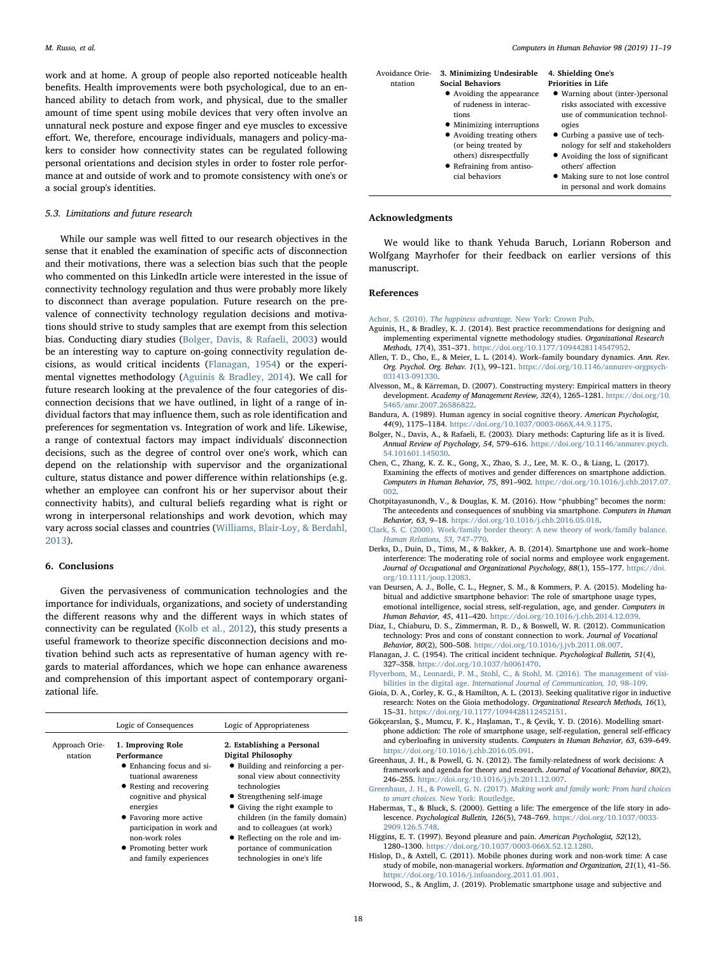work and at home. A group of people also reported noticeable health benefits. Health improvements were both psychological, due to an enhanced ability to detach from work, and physical, due to the smaller amount of time spent using mobile devices that very often involve an unnatural neck posture and expose finger and eye muscles to excessive effort. We, therefore, encourage individuals, managers and policy-makers to consider how connectivity states can be regulated following personal orientations and decision styles in order to foster role performance at and outside of work and to promote consistency with one's or a social group's identities.

# 5.3. Limitations and future research

While our sample was well fitted to our research objectives in the sense that it enabled the examination of specific acts of disconnection and their motivations, there was a selection bias such that the people who commented on this LinkedIn article were interested in the issue of connectivity technology regulation and thus were probably more likely to disconnect than average population. Future research on the prevalence of connectivity technology regulation decisions and motivations should strive to study samples that are exempt from this selection bias. Conducting diary studies ([Bolger, Davis, & Rafaeli, 2003\)](#page-7-18) would be an interesting way to capture on-going connectivity regulation decisions, as would critical incidents [\(Flanagan, 1954\)](#page-7-19) or the experimental vignettes methodology ([Aguinis & Bradley, 2014](#page-7-20)). We call for future research looking at the prevalence of the four categories of disconnection decisions that we have outlined, in light of a range of individual factors that may influence them, such as role identification and preferences for segmentation vs. Integration of work and life. Likewise, a range of contextual factors may impact individuals' disconnection decisions, such as the degree of control over one's work, which can depend on the relationship with supervisor and the organizational culture, status distance and power difference within relationships (e.g. whether an employee can confront his or her supervisor about their connectivity habits), and cultural beliefs regarding what is right or wrong in interpersonal relationships and work devotion, which may vary across social classes and countries ([Williams, Blair-Loy, & Berdahl,](#page-8-23) [2013\)](#page-8-23).

## 6. Conclusions

Given the pervasiveness of communication technologies and the importance for individuals, organizations, and society of understanding the different reasons why and the different ways in which states of connectivity can be regulated [\(Kolb et al., 2012\)](#page-8-6), this study presents a useful framework to theorize specific disconnection decisions and motivation behind such acts as representative of human agency with regards to material affordances, which we hope can enhance awareness and comprehension of this important aspect of contemporary organizational life.

|                           | Logic of Consequences                                                                                                                                                                                                                                                                | Logic of Appropriateness                                                                                                                                                                                                                                                                                                                                               |
|---------------------------|--------------------------------------------------------------------------------------------------------------------------------------------------------------------------------------------------------------------------------------------------------------------------------------|------------------------------------------------------------------------------------------------------------------------------------------------------------------------------------------------------------------------------------------------------------------------------------------------------------------------------------------------------------------------|
| Approach Orie-<br>ntation | 1. Improving Role<br>Performance<br>• Enhancing focus and si-<br>tuational awareness<br>• Resting and recovering<br>cognitive and physical<br>energies<br>• Favoring more active<br>participation in work and<br>non-work roles<br>• Promoting better work<br>and family experiences | 2. Establishing a Personal<br>Digital Philosophy<br>• Building and reinforcing a per-<br>sonal view about connectivity<br>technologies<br>• Strengthening self-image<br>• Giving the right example to<br>children (in the family domain)<br>and to colleagues (at work)<br>• Reflecting on the role and im-<br>portance of communication<br>technologies in one's life |

| Avoidance Orie- | 3. Minimizing Undesirable                                                                                                                                                                                                   | 4. Shielding One's                                                                                                                                                                                                                                                                    |
|-----------------|-----------------------------------------------------------------------------------------------------------------------------------------------------------------------------------------------------------------------------|---------------------------------------------------------------------------------------------------------------------------------------------------------------------------------------------------------------------------------------------------------------------------------------|
| ntation         | <b>Social Behaviors</b>                                                                                                                                                                                                     | Priorities in Life                                                                                                                                                                                                                                                                    |
|                 | • Avoiding the appearance<br>of rudeness in interac-<br>tions<br>• Minimizing interruptions<br>• Avoiding treating others<br>(or being treated by<br>others) disrespectfully<br>• Refraining from antiso-<br>cial behaviors | • Warning about (inter-)personal<br>risks associated with excessive<br>use of communication technol-<br>ogies<br>• Curbing a passive use of tech-<br>nology for self and stakeholders<br>• Avoiding the loss of significant<br>others' affection<br>• Making sure to not lose control |

• Making sure to not lose control in personal and work domains

# Acknowledgments

We would like to thank Yehuda Baruch, Loriann Roberson and Wolfgang Mayrhofer for their feedback on earlier versions of this manuscript.

## References

- <span id="page-7-14"></span>Achor, S. (2010). [The happiness advantage.](http://refhub.elsevier.com/S0747-5632(19)30137-2/sref1) New York: Crown Pub.
- <span id="page-7-20"></span>Aguinis, H., & Bradley,  $K$ , J. (2014). Best practice recommendations for designing and implementing experimental vignette methodology studies. Organizational Research Methods, 17(4), 351–371. <https://doi.org/10.1177/1094428114547952>.
- <span id="page-7-9"></span>Allen, T. D., Cho, E., & Meier, L. L. (2014). Work–family boundary dynamics. Ann. Rev. Org. Psychol. Org. Behav. 1(1), 99–121. [https://doi.org/10.1146/annurev-orgpsych-](https://doi.org/10.1146/annurev-orgpsych-031413-091330)[031413-091330.](https://doi.org/10.1146/annurev-orgpsych-031413-091330)
- <span id="page-7-7"></span>Alvesson, M., & Kärreman, D. (2007). Constructing mystery: Empirical matters in theory development. Academy of Management Review, 32(4), 1265-1281. [https://doi.org/10.](https://doi.org/10.5465/amr.2007.26586822) [5465/amr.2007.26586822.](https://doi.org/10.5465/amr.2007.26586822)
- <span id="page-7-4"></span>Bandura, A. (1989). Human agency in social cognitive theory. American Psychologist, 44(9), 1175–1184. <https://doi.org/10.1037/0003-066X.44.9.1175>.
- <span id="page-7-18"></span>Bolger, N., Davis, A., & Rafaeli, E. (2003). Diary methods: Capturing life as it is lived. Annual Review of Psychology, 54, 579–616. [https://doi.org/10.1146/annurev.psych.](https://doi.org/10.1146/annurev.psych.54.101601.145030) [54.101601.145030](https://doi.org/10.1146/annurev.psych.54.101601.145030).
- <span id="page-7-2"></span>Chen, C., Zhang, K. Z. K., Gong, X., Zhao, S. J., Lee, M. K. O., & Liang, L. (2017). Examining the effects of motives and gender differences on smartphone addiction. Computers in Human Behavior, 75, 891–902. [https://doi.org/10.1016/j.chb.2017.07.](https://doi.org/10.1016/j.chb.2017.07.002) [002](https://doi.org/10.1016/j.chb.2017.07.002).
- <span id="page-7-15"></span>Chotpitayasunondh, V., & Douglas, K. M. (2016). How "phubbing" becomes the norm: The antecedents and consequences of snubbing via smartphone. Computers in Human Behavior, 63, 9–18. <https://doi.org/10.1016/j.chb.2016.05.018>.
- <span id="page-7-17"></span>[Clark, S. C. \(2000\). Work/family border theory: A new theory of work/family balance.](http://refhub.elsevier.com/S0747-5632(19)30137-2/sref9) [Human Relations, 53](http://refhub.elsevier.com/S0747-5632(19)30137-2/sref9), 747–770.
- <span id="page-7-10"></span>Derks, D., Duin, D., Tims, M., & Bakker, A. B. (2014). Smartphone use and work–home interference: The moderating role of social norms and employee work engagement. Journal of Occupational and Organizational Psychology, 88(1), 155–177. [https://doi.](https://doi.org/10.1111/joop.12083) [org/10.1111/joop.12083.](https://doi.org/10.1111/joop.12083)
- van Deursen, A. J., Bolle, C. L., Hegner, S. M., & Kommers, P. A. (2015). Modeling habitual and addictive smartphone behavior: The role of smartphone usage types, emotional intelligence, social stress, self-regulation, age, and gender. Computers in Human Behavior, 45, 411–420. [https://doi.org/10.1016/j.chb.2014.12.039.](https://doi.org/10.1016/j.chb.2014.12.039)
- <span id="page-7-1"></span>Diaz, I., Chiaburu, D. S., Zimmerman, R. D., & Boswell, W. R. (2012). Communication technology: Pros and cons of constant connection to work. Journal of Vocational Behavior, 80(2), 500–508. [https://doi.org/10.1016/j.jvb.2011.08.007.](https://doi.org/10.1016/j.jvb.2011.08.007)
- <span id="page-7-19"></span>Flanagan, J. C. (1954). The critical incident technique. Psychological Bulletin, 51(4), 327–358. [https://doi.org/10.1037/h0061470.](https://doi.org/10.1037/h0061470)
- <span id="page-7-3"></span>[Flyverbom, M., Leonardi, P. M., Stohl, C., & Stohl, M. \(2016\). The management of visi](http://refhub.elsevier.com/S0747-5632(19)30137-2/sref14)bilities in the digital age. [International Journal of Communication, 10](http://refhub.elsevier.com/S0747-5632(19)30137-2/sref14), 98–109.
- <span id="page-7-6"></span>Gioia, D. A., Corley, K. G., & Hamilton, A. L. (2013). Seeking qualitative rigor in inductive research: Notes on the Gioia methodology. Organizational Research Methods, 16(1), 15–31. <https://doi.org/10.1177/1094428112452151>.
- <span id="page-7-11"></span>Gökçearslan, Ş., Mumcu, F. K., Haşlaman, T., & Çevik, Y. D. (2016). Modelling smartphone addiction: The role of smartphone usage, self-regulation, general self-efficacy and cyberloafing in university students. Computers in Human Behavior, 63, 639–649. [https://doi.org/10.1016/j.chb.2016.05.091.](https://doi.org/10.1016/j.chb.2016.05.091)
- <span id="page-7-16"></span>Greenhaus, J. H., & Powell, G. N. (2012). The family-relatedness of work decisions: A framework and agenda for theory and research. Journal of Vocational Behavior, 80(2), 246–255. <https://doi.org/10.1016/j.jvb.2011.12.007>.
- <span id="page-7-12"></span>Greenhaus, J. H., & Powell, G. N. (2017). [Making work and family work: From hard choices](http://refhub.elsevier.com/S0747-5632(19)30137-2/sref19) to smart choices. [New York: Routledge](http://refhub.elsevier.com/S0747-5632(19)30137-2/sref19).
- <span id="page-7-13"></span>Habermas, T., & Bluck, S. (2000). Getting a life: The emergence of the life story in adolescence. Psychological Bulletin, 126(5), 748–769. [https://doi.org/10.1037/0033-](https://doi.org/10.1037/0033-2909.126.5.748) [2909.126.5.748](https://doi.org/10.1037/0033-2909.126.5.748).
- <span id="page-7-8"></span>Higgins, E. T. (1997). Beyond pleasure and pain. American Psychologist, 52(12), 1280–1300. <https://doi.org/10.1037/0003-066X.52.12.1280>.
- <span id="page-7-5"></span>Hislop, D., & Axtell, C. (2011). Mobile phones during work and non-work time: A case study of mobile, non-managerial workers. Information and Organization, 21(1), 41–56. [https://doi.org/10.1016/j.infoandorg.2011.01.001.](https://doi.org/10.1016/j.infoandorg.2011.01.001)

<span id="page-7-0"></span>Horwood, S., & Anglim, J. (2019). Problematic smartphone usage and subjective and